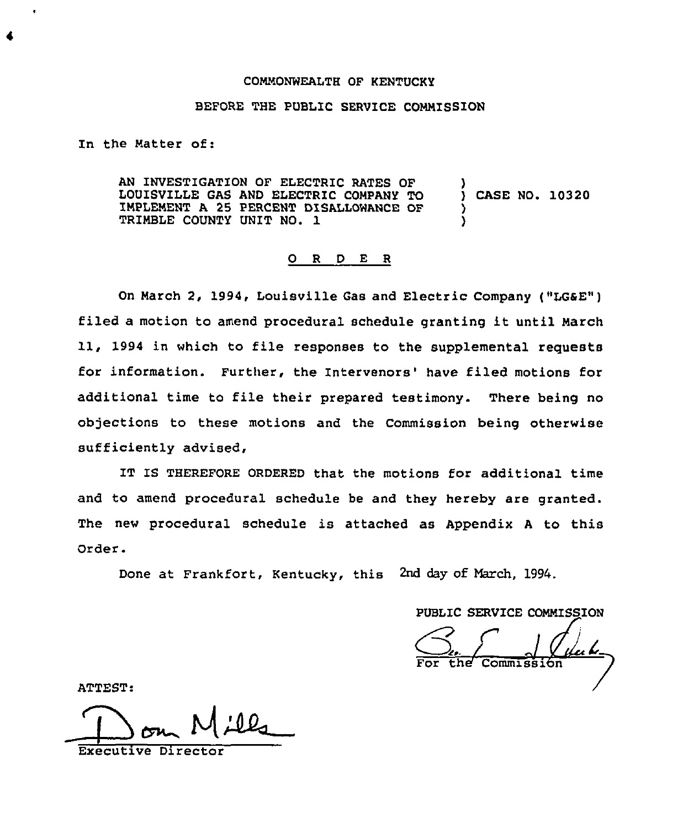## COMMONWEALTH OF KENTUCKY

## BEFORE THE PUBLIC SERVICE COMMISSION

In the Matter of:

AN INVESTIGATION OF ELECTRIC RATES QF LOUISVILLE GAS AND ELECTRIC COMPANY TO IMPLEMENT A 25 PERCENT DISALLOWANCE OF TRIMBLE COUNTY UNIT NO. 1 ) ) CASE NO. 10320 ) )

## 0 <sup>R</sup> <sup>D</sup> E <sup>R</sup>

On March 2, 1994, Louisville Gas and Electric Company ("LGSE") filed <sup>a</sup> motion to amend procedural schedule granting it until March 11, 1994 in which to file responses to the supplemental reguests for information. Further, the Intervenors' have filed motions for additional time to file their prepared testimony. There being no objections to these motions and the Commission being otherwise sufficiently advised,

IT IS THEREFORE ORDERED that the motions for additional time and to amend procedural schedule be and they hereby are granted. The new procedural schedule is attached as Appendix A to this Order.

Done at Frankfort, Kentucky, this 2nd day of Narch, 1994.

PUBLIC SERVICE COMMISSION

For the Commission

ATTEST:

Executive Director